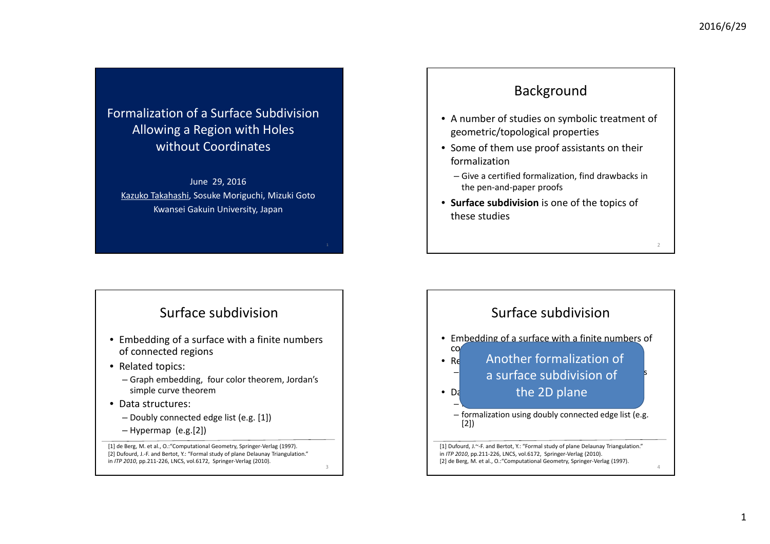#### Formalization of <sup>a</sup> Surface Subdivision Allowing <sup>a</sup> Region with Holes without Coordinates

June 29, 2016 Kazuko Takahashi, Sosuke Moriguchi, Mizuki Goto Kwansei Gakuin University, Japan

## Surface subdivision

- Embedding of <sup>a</sup> surface with <sup>a</sup> finite numbers of connected regions
- Related topics:
	- Graph embedding, four color theorem, Jordan's simple curve theorem
- Data structures:
	- Doubly connected edge list (e.g. [1])
	- Hypermap (e.g.[2])

[1] de Berg, M. et al., O.:"Computational Geometry, Springer‐Verlag (1997). [2] Dufourd, J.-F. and Bertot, Y.: "Formal study of plane Delaunay Triangulation." in *ITP 2010*, pp.211‐226, LNCS, vol.6172, Springer‐Verlag (2010).

#### Surface subdivision• Embedding of <sup>a</sup> surface with <sup>a</sup> finite numbers of CO • Relations Another formalization of  $\overline{\phantom{a}}$  and  $\overline{\phantom{a}}$  curface cubdivision of  $\overline{\phantom{a}}$ a surface subdivision of  $\bullet$  Data formalization using hypermaps (e.g.  $\sim$ – formalization using doubly connected edge list (e.g. [2]) 4[1] Dufourd, J.~‐F. and Bertot, Y.: "Formal study of plane Delaunay Triangulation." in *ITP 2010*, pp.211‐226, LNCS, vol.6172, Springer‐Verlag (2010). [2] de Berg, M. et al., O.: "Computational Geometry, Springer-Verlag (1997). the 2D plane

Background

• A number of studies on symbolic treatment of

– Give <sup>a</sup> certified formalization, find drawbacks in

• Some of them use proof assistants on their

• **Surface subdivision** is one of the topics of

geometric/topological properties

the pen‐and‐paper proofs

formalization

these studies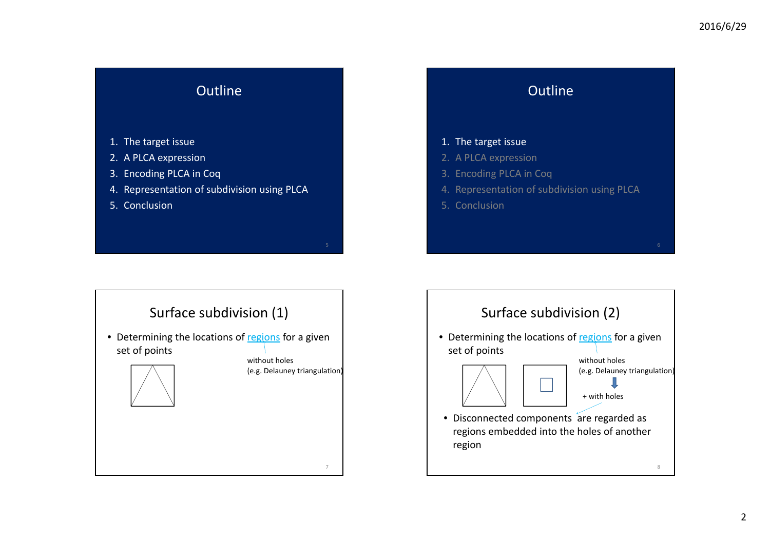

#### **Outline**

#### 1. The target issue

- 2. A PLCA expression
- 3. Encoding PLCA in Coq
- 4. Representation of subdivision using PLCA
- 5. Conclusion



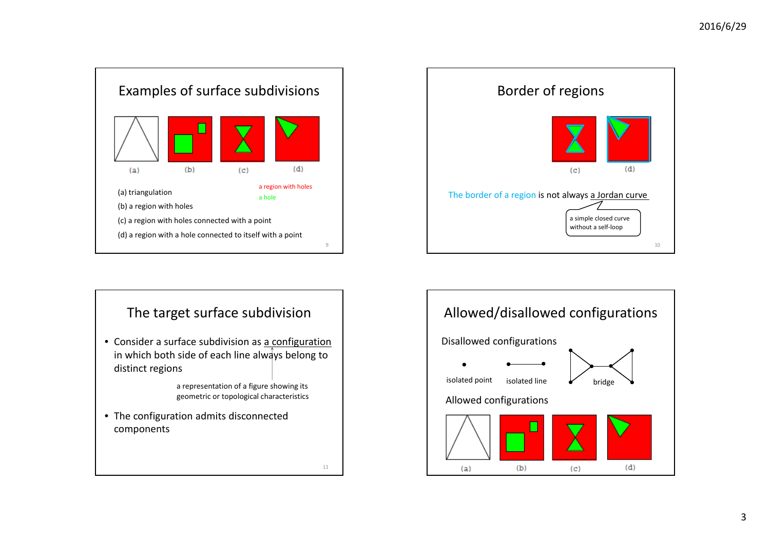



# The target surface subdivision • Consider a surface subdivision as a configuration in which both side of each line always belong to distinct regions • The configuration admits disconnected components a representation of <sup>a</sup> figure showing its geometric or topological characteristics

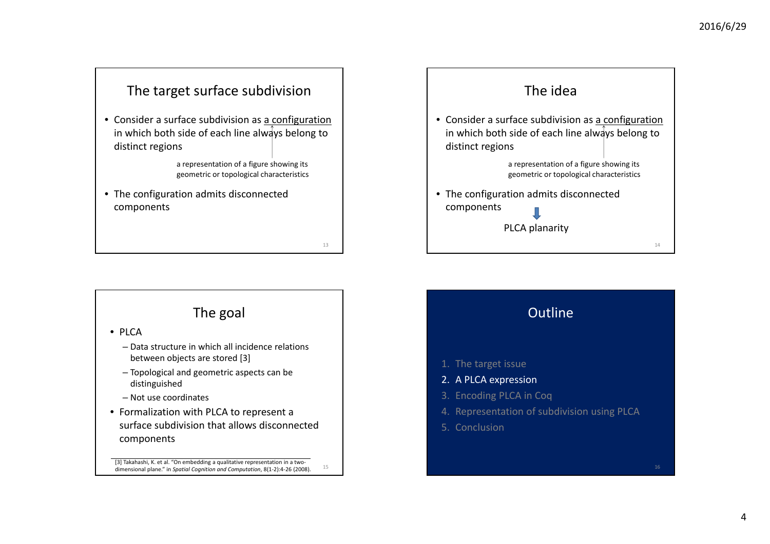#### The target surface subdivision

• Consider a surface subdivision as a configuration in which both side of each line always belong to distinct regions

> a representation of <sup>a</sup> figure showing its geometric or topological characteristics

> > 13

15

• The configuration admits disconnected components

#### The goal

• PLCA

- Data structure in which all incidence relations between objects are stored [3]
- Topological and geometric aspects can be distinguished
- Not use coordinates
- Formalization with PLCA to represent <sup>a</sup> surface subdivision that allows disconnected components

[3] Takahashi, K. et al. "On embedding a qualitative representation in a twodimensional plane." in *Spatial Cognition and Computation*, 8(1‐2):4‐26 (2008).



# **Outline** 1. The target issue 2. A PLCA expression 3. Encoding PLCA in Coq 4. Representation of subdivision using PLCA 5. Conclusion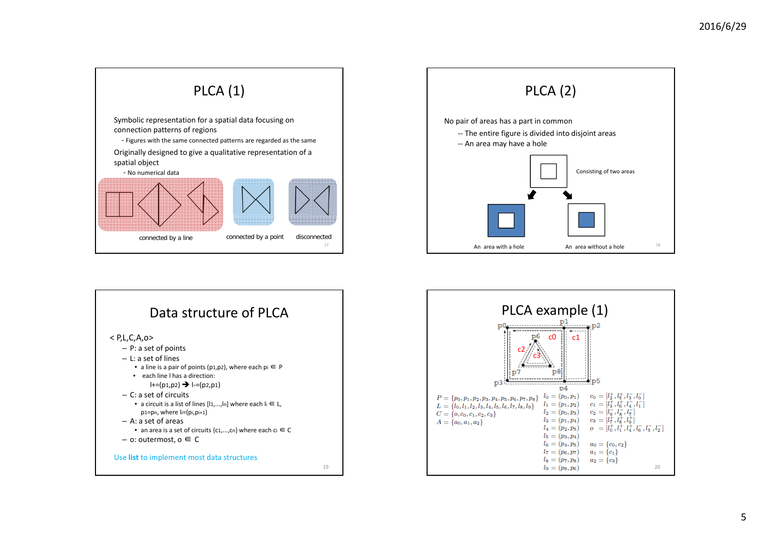





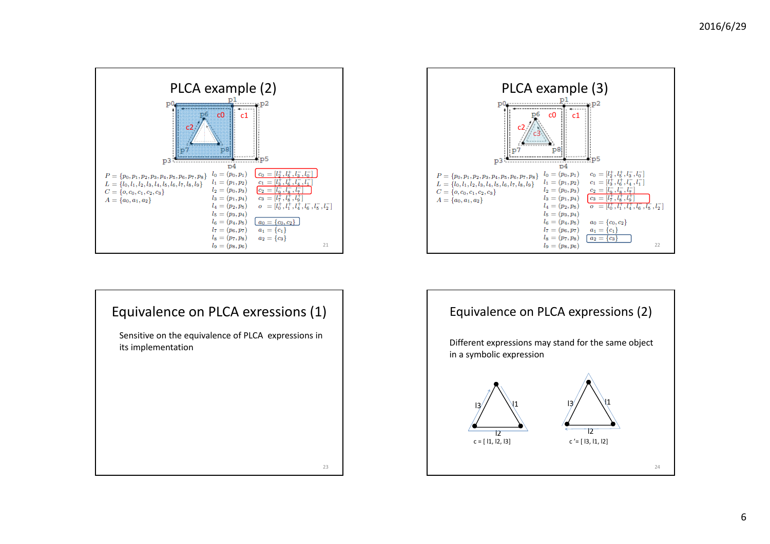



Sensitive on the equivalence of PLCA expressions in its implementation



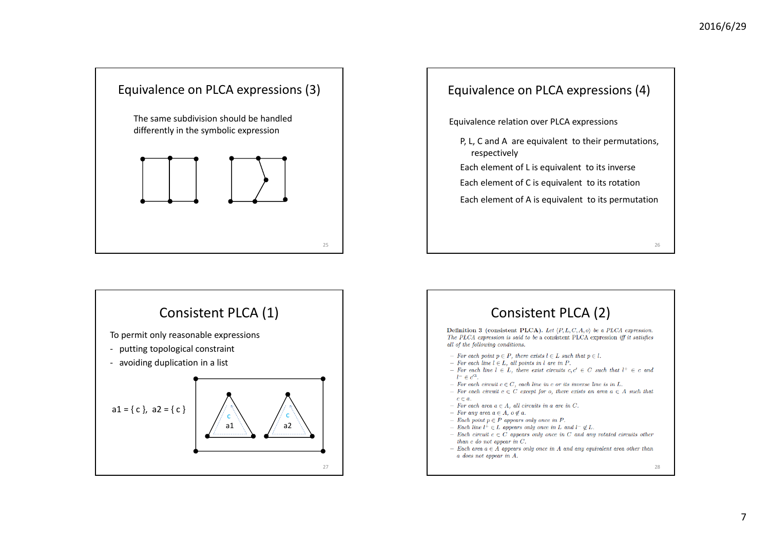





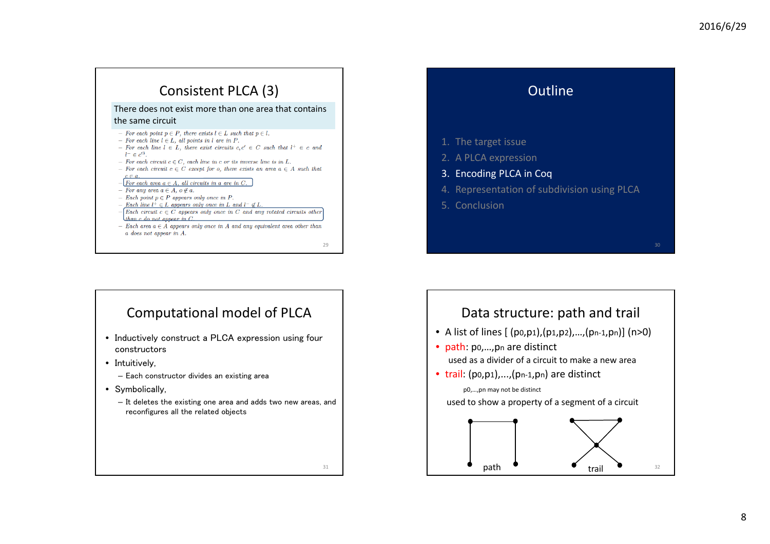# Consistent PLCA (3)

#### There does not exist more than one area that contains the same circuit

- $-$  For each point  $p \in P$ , there exists  $l \in L$  such that  $p \in l$ .
- $-$  For each line  $l \in L$ , all points in l are in P.
- $-$  For each line  $l \in L$ , there exist circuits  $c, c' \in C$  such that  $l^+ \in c$  and  $l^- \in c'^3$
- $-$  For each circuit  $c \in C$ , each line in c or its inverse line is in L.
- For each circuit  $c \in C$  except for o, there exists an area  $a \in A$  such that
- $-\sqrt{For each area } a \in A$ , all circuits in a are in C.
- $-$  For any area  $a \in A$ ,  $o \notin a$ .
- Each point  $p \in P$  appears only once in P.
- Each line  $l^{\dagger} \in L$  appears only once in L and  $l^- \notin L$  $-\sqrt{Each circuit } c \in C$  appears only once in C and any rotated circuits other
- than c do not appear in  $C$ .
- Each area  $a \in \overrightarrow{A}$  appears only once in A and any equivalent area other than  $a$  does not appear in  $A$ .
	- $29$

31

# Computational model of PLCA

- Inductively construct a PLCA expression using four constructors
- Intuitively,
	- Each constructor divides an existing area
- Symbolically,
	- It deletes the existing one area and adds two new areas, and reconfigures all the related objects



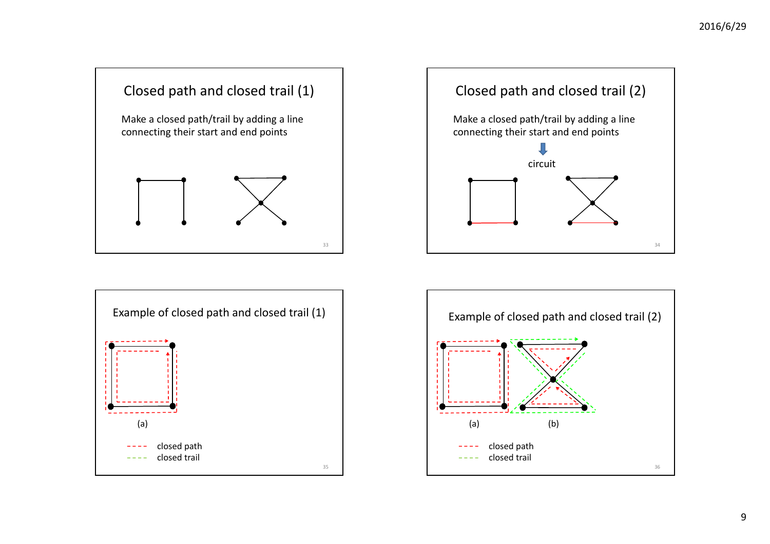





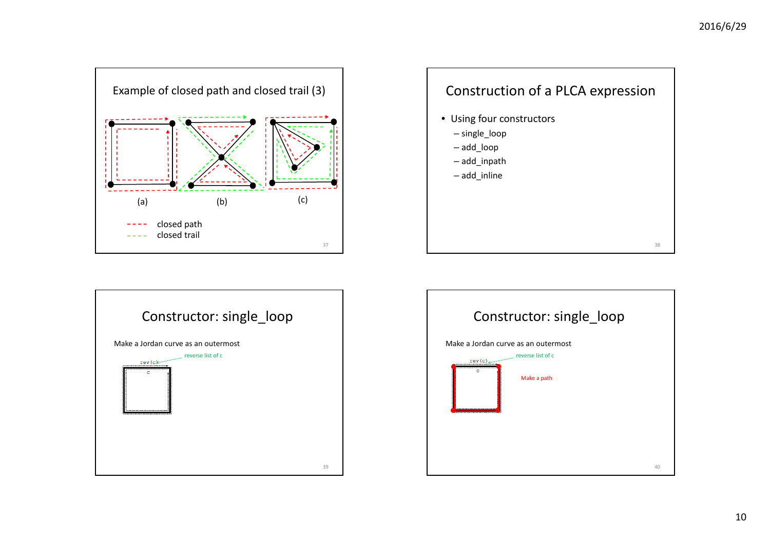





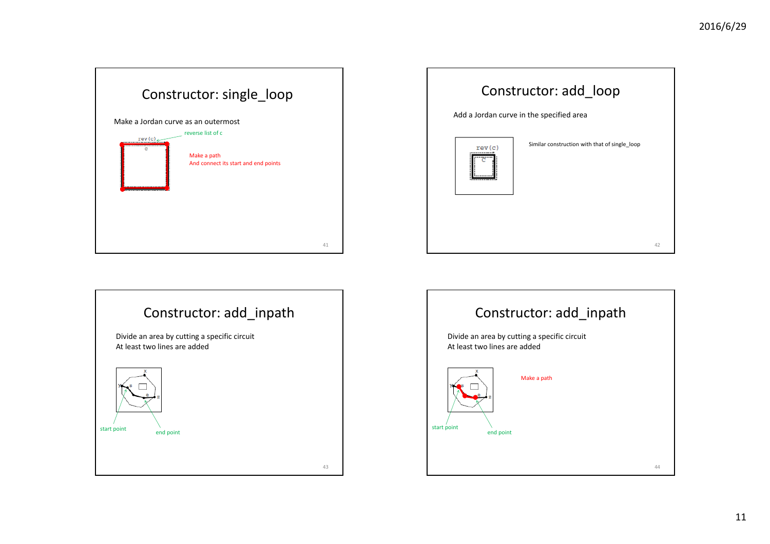





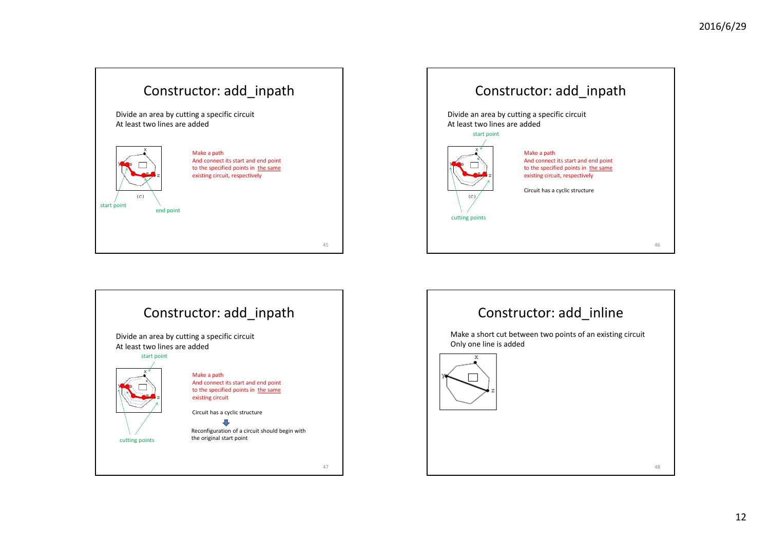





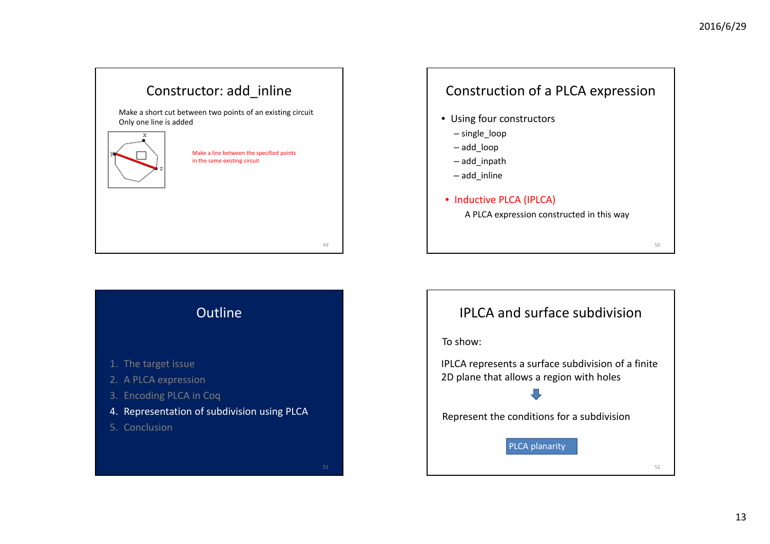50

# Constructor: add\_inline

Make <sup>a</sup> short cut between two points of an existing circuit Only one line is added



Make <sup>a</sup> line between the specified points in the same existing circuit

49

### Construction of <sup>a</sup> PLCA expression

- Using four constructors
	- single\_loop
	- add\_loop
	- add\_inpath
	- add\_inline
- Inductive PLCA (IPLCA)

A PLCA expression constructed in this way

Outline 1. The target issue 2. A PLCA expression 3. Encoding PLCA in Coq 4. Representation of subdivision using PLCA 5. Conclusion

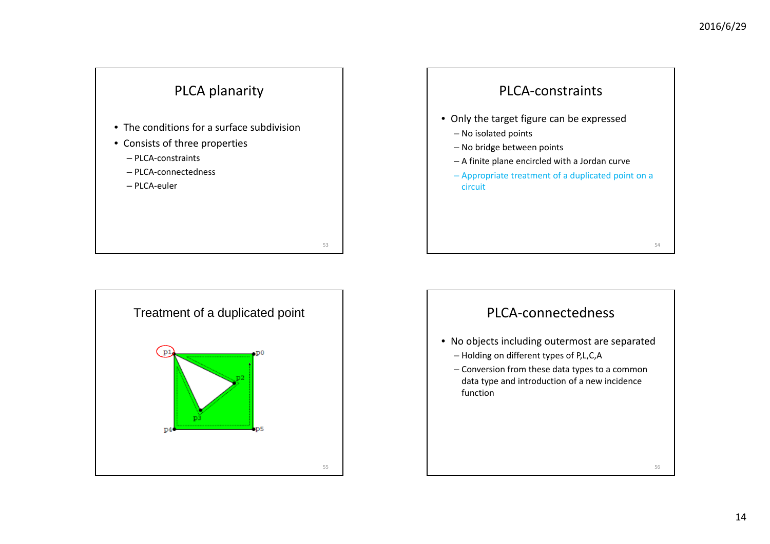





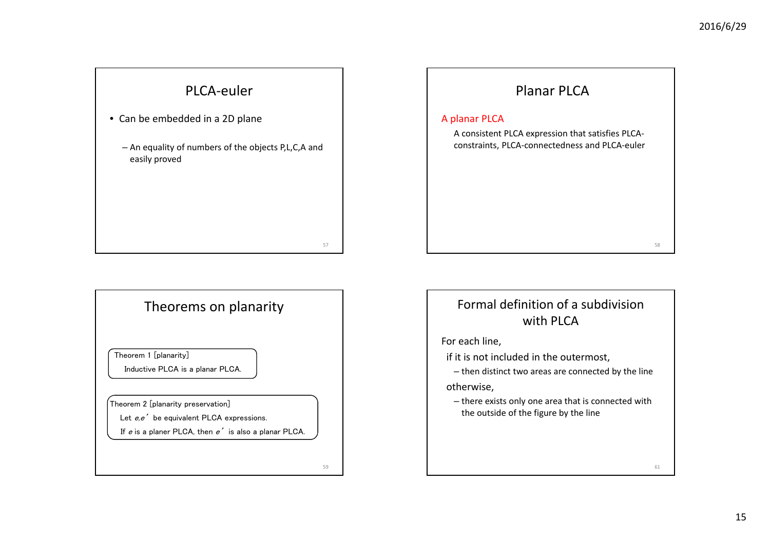# PLCA‐euler

• Can be embedded in <sup>a</sup> 2D plane

– An equality of numbers of the objects P,L,C,A and easily proved

57

59

#### Theorems on planarity

Theorem 1 [planarity]

Inductive PLCA is a planar PLCA.

Theorem 2 [planarity preservation]

Let  $e.e'$  be equivalent PLCA expressions.

If  $e$  is a planer PLCA, then  $e'$  is also a planar PLCA.



#### Formal definition of <sup>a</sup> subdivision with PLCA

For each line,

if it is not included in the outermost,

– then distinct two areas are connected by the line

otherwise,

– there exists only one area that is connected with the outside of the figure by the line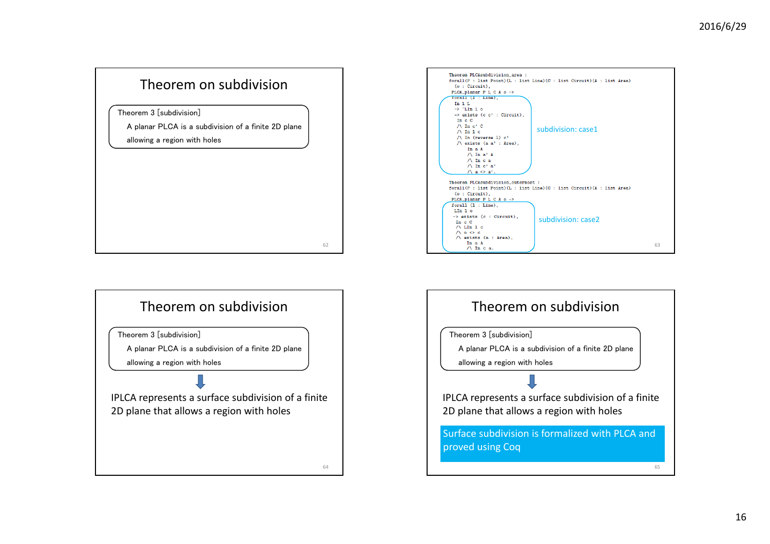